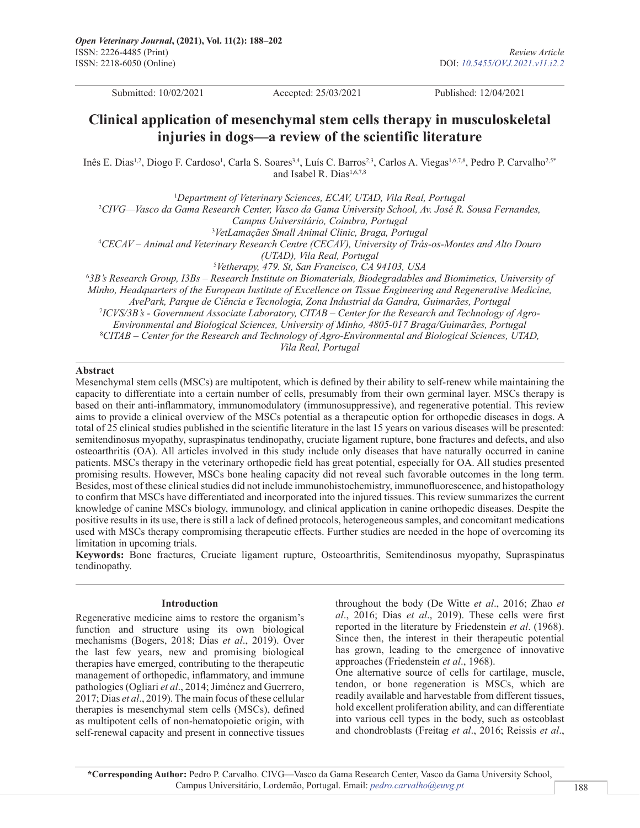Submitted: 10/02/2021 Accepted: 25/03/2021 Published: 12/04/2021

# **Clinical application of mesenchymal stem cells therapy in musculoskeletal injuries in dogs—a review of the scientific literature**

Inês E. Dias<sup>1,2</sup>, Diogo F. Cardoso<sup>1</sup>, Carla S. Soares<sup>3,4</sup>, Luís C. Barros<sup>2,3</sup>, Carlos A. Viegas<sup>1,6,7,8</sup>, Pedro P. Carvalho<sup>2,5\*</sup> and Isabel R. Dias<sup>1,6,7,8</sup>

1 *Department of Veterinary Sciences, ECAV, UTAD, Vila Real, Portugal* 2 *CIVG—Vasco da Gama Research Center, Vasco da Gama University School, Av. José R. Sousa Fernandes, Campus Universitário, Coimbra, Portugal* 3 *VetLamaçães Small Animal Clinic, Braga, Portugal* 4 *CECAV – Animal and Veterinary Research Centre (CECAV), University of Trás-os-Montes and Alto Douro (UTAD), Vila Real, Portugal* 5 *Vetherapy, 479. St, San Francisco, CA 94103, USA* 6 *3B's Research Group, I3Bs – Research Institute on Biomaterials, Biodegradables and Biomimetics, University of Minho, Headquarters of the European Institute of Excellence on Tissue Engineering and Regenerative Medicine, AvePark, Parque de Ciência e Tecnologia, Zona Industrial da Gandra, Guimarães, Portugal*

7 *ICVS/3B's - Government Associate Laboratory, CITAB – Center for the Research and Technology of Agro-*

*Environmental and Biological Sciences, University of Minho, 4805-017 Braga/Guimarães, Portugal*

8 *CITAB – Center for the Research and Technology of Agro-Environmental and Biological Sciences, UTAD, Vila Real, Portugal*

### **Abstract**

Mesenchymal stem cells (MSCs) are multipotent, which is defined by their ability to self-renew while maintaining the capacity to differentiate into a certain number of cells, presumably from their own germinal layer. MSCs therapy is based on their anti-inflammatory, immunomodulatory (immunosuppressive), and regenerative potential. This review aims to provide a clinical overview of the MSCs potential as a therapeutic option for orthopedic diseases in dogs. A total of 25 clinical studies published in the scientific literature in the last 15 years on various diseases will be presented: semitendinosus myopathy, supraspinatus tendinopathy, cruciate ligament rupture, bone fractures and defects, and also osteoarthritis (OA). All articles involved in this study include only diseases that have naturally occurred in canine patients. MSCs therapy in the veterinary orthopedic field has great potential, especially for OA. All studies presented promising results. However, MSCs bone healing capacity did not reveal such favorable outcomes in the long term. Besides, most of these clinical studies did not include immunohistochemistry, immunofluorescence, and histopathology to confirm that MSCs have differentiated and incorporated into the injured tissues. This review summarizes the current knowledge of canine MSCs biology, immunology, and clinical application in canine orthopedic diseases. Despite the positive results in its use, there is still a lack of defined protocols, heterogeneous samples, and concomitant medications used with MSCs therapy compromising therapeutic effects. Further studies are needed in the hope of overcoming its limitation in upcoming trials.

**Keywords:** Bone fractures, Cruciate ligament rupture, Osteoarthritis, Semitendinosus myopathy, Supraspinatus tendinopathy.

#### **Introduction**

Regenerative medicine aims to restore the organism's function and structure using its own biological mechanisms (Bogers, 2018; Dias *et al*., 2019). Over the last few years, new and promising biological therapies have emerged, contributing to the therapeutic management of orthopedic, inflammatory, and immune pathologies (Ogliari *et al*., 2014; Jiménez and Guerrero, 2017; Dias *et al*., 2019). The main focus of these cellular therapies is mesenchymal stem cells (MSCs), defined as multipotent cells of non-hematopoietic origin, with self-renewal capacity and present in connective tissues

throughout the body (De Witte *et al*., 2016; Zhao *et al*., 2016; Dias *et al*., 2019). These cells were first reported in the literature by Friedenstein *et al*. (1968). Since then, the interest in their therapeutic potential has grown, leading to the emergence of innovative approaches (Friedenstein *et al*., 1968).

One alternative source of cells for cartilage, muscle, tendon, or bone regeneration is MSCs, which are readily available and harvestable from different tissues, hold excellent proliferation ability, and can differentiate into various cell types in the body, such as osteoblast and chondroblasts (Freitag *et al*., 2016; Reissis *et al*.,

**\*Corresponding Author:** Pedro P. Carvalho. CIVG—Vasco da Gama Research Center, Vasco da Gama University School, Campus Universitário, Lordemão, Portugal. Email: *pedro.carvalho@euvg.pt*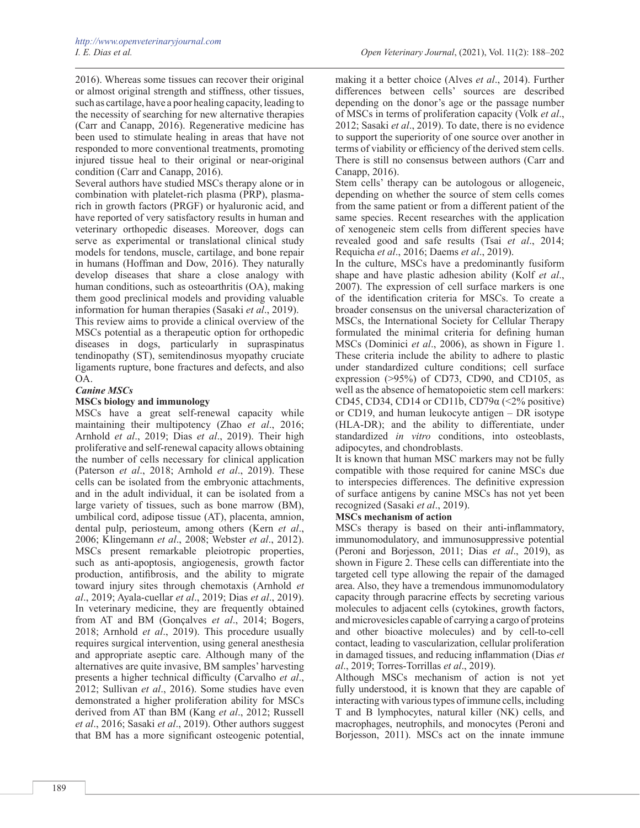2016). Whereas some tissues can recover their original or almost original strength and stiffness, other tissues, such as cartilage, have a poor healing capacity, leading to the necessity of searching for new alternative therapies (Carr and Canapp, 2016). Regenerative medicine has been used to stimulate healing in areas that have not responded to more conventional treatments, promoting injured tissue heal to their original or near-original condition (Carr and Canapp, 2016).

Several authors have studied MSCs therapy alone or in combination with platelet-rich plasma (PRP), plasmarich in growth factors (PRGF) or hyaluronic acid, and have reported of very satisfactory results in human and veterinary orthopedic diseases. Moreover, dogs can serve as experimental or translational clinical study models for tendons, muscle, cartilage, and bone repair in humans (Hoffman and Dow, 2016). They naturally develop diseases that share a close analogy with human conditions, such as osteoarthritis (OA), making them good preclinical models and providing valuable information for human therapies (Sasaki *et al*., 2019).

This review aims to provide a clinical overview of the MSCs potential as a therapeutic option for orthopedic diseases in dogs, particularly in supraspinatus tendinopathy (ST), semitendinosus myopathy cruciate ligaments rupture, bone fractures and defects, and also OA.

# *Canine MSCs*

### **MSCs biology and immunology**

MSCs have a great self-renewal capacity while maintaining their multipotency (Zhao *et al*., 2016; Arnhold *et al*., 2019; Dias *et al*., 2019). Their high proliferative and self-renewal capacity allows obtaining the number of cells necessary for clinical application (Paterson *et al*., 2018; Arnhold *et al*., 2019). These cells can be isolated from the embryonic attachments, and in the adult individual, it can be isolated from a large variety of tissues, such as bone marrow (BM), umbilical cord, adipose tissue (AT), placenta, amnion, dental pulp, periosteum, among others (Kern *et al*., 2006; Klingemann *et al*., 2008; Webster *et al*., 2012). MSCs present remarkable pleiotropic properties, such as anti-apoptosis, angiogenesis, growth factor production, antifibrosis, and the ability to migrate toward injury sites through chemotaxis (Arnhold *et al*., 2019; Ayala-cuellar *et al*., 2019; Dias *et al*., 2019). In veterinary medicine, they are frequently obtained from AT and BM (Gonçalves *et al*., 2014; Bogers, 2018; Arnhold *et al*., 2019). This procedure usually requires surgical intervention, using general anesthesia and appropriate aseptic care. Although many of the alternatives are quite invasive, BM samples' harvesting presents a higher technical difficulty (Carvalho *et al*., 2012; Sullivan *et al*., 2016). Some studies have even demonstrated a higher proliferation ability for MSCs derived from AT than BM (Kang *et al*., 2012; Russell *et al*., 2016; Sasaki *et al*., 2019). Other authors suggest that BM has a more significant osteogenic potential,

making it a better choice (Alves *et al*., 2014). Further differences between cells' sources are described depending on the donor's age or the passage number of MSCs in terms of proliferation capacity (Volk *et al*., 2012; Sasaki *et al*., 2019). To date, there is no evidence to support the superiority of one source over another in terms of viability or efficiency of the derived stem cells. There is still no consensus between authors (Carr and Canapp, 2016).

Stem cells' therapy can be autologous or allogeneic, depending on whether the source of stem cells comes from the same patient or from a different patient of the same species. Recent researches with the application of xenogeneic stem cells from different species have revealed good and safe results (Tsai *et al*., 2014; Requicha *et al*., 2016; Daems *et al*., 2019).

In the culture, MSCs have a predominantly fusiform shape and have plastic adhesion ability (Kolf *et al*., 2007). The expression of cell surface markers is one of the identification criteria for MSCs. To create a broader consensus on the universal characterization of MSCs, the International Society for Cellular Therapy formulated the minimal criteria for defining human MSCs (Dominici *et al*., 2006), as shown in Figure 1. These criteria include the ability to adhere to plastic under standardized culture conditions; cell surface expression (>95%) of CD73, CD90, and CD105, as well as the absence of hematopoietic stem cell markers: CD45, CD34, CD14 or CD11b, CD79 $\alpha$  (<2% positive) or CD19, and human leukocyte antigen – DR isotype (HLA-DR); and the ability to differentiate, under standardized *in vitro* conditions, into osteoblasts, adipocytes, and chondroblasts.

It is known that human MSC markers may not be fully compatible with those required for canine MSCs due to interspecies differences. The definitive expression of surface antigens by canine MSCs has not yet been recognized (Sasaki *et al*., 2019).

# **MSCs mechanism of action**

MSCs therapy is based on their anti-inflammatory, immunomodulatory, and immunosuppressive potential (Peroni and Borjesson, 2011; Dias *et al*., 2019), as shown in Figure 2. These cells can differentiate into the targeted cell type allowing the repair of the damaged area. Also, they have a tremendous immunomodulatory capacity through paracrine effects by secreting various molecules to adjacent cells (cytokines, growth factors, and microvesicles capable of carrying a cargo of proteins and other bioactive molecules) and by cell-to-cell contact, leading to vascularization, cellular proliferation in damaged tissues, and reducing inflammation (Dias *et al*., 2019; Torres-Torrillas *et al*., 2019).

Although MSCs mechanism of action is not yet fully understood, it is known that they are capable of interacting with various types of immune cells, including T and B lymphocytes, natural killer (NK) cells, and macrophages, neutrophils, and monocytes (Peroni and Borjesson, 2011). MSCs act on the innate immune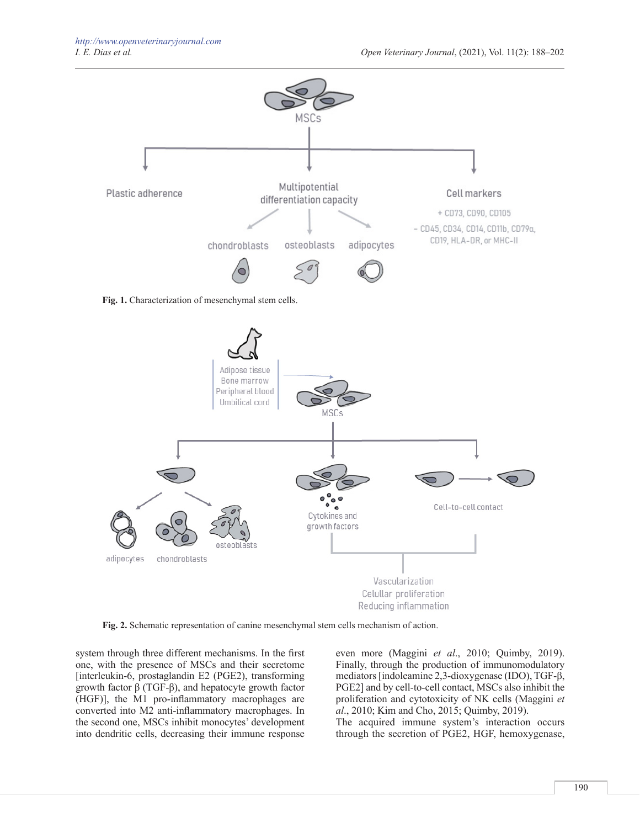

**Fig. 1.** Characterization of mesenchymal stem cells.



**Fig. 2.** Schematic representation of canine mesenchymal stem cells mechanism of action.

system through three different mechanisms. In the first one, with the presence of MSCs and their secretome [interleukin-6, prostaglandin E2 (PGE2), transforming growth factor β (TGF-β), and hepatocyte growth factor (HGF)], the M1 pro-inflammatory macrophages are converted into M2 anti-inflammatory macrophages. In the second one, MSCs inhibit monocytes' development into dendritic cells, decreasing their immune response even more (Maggini *et al*., 2010; Quimby, 2019). Finally, through the production of immunomodulatory mediators [indoleamine 2,3-dioxygenase (IDO), TGF-β, PGE2] and by cell-to-cell contact, MSCs also inhibit the proliferation and cytotoxicity of NK cells (Maggini *et al*., 2010; Kim and Cho, 2015; Quimby, 2019).

The acquired immune system's interaction occurs through the secretion of PGE2, HGF, hemoxygenase,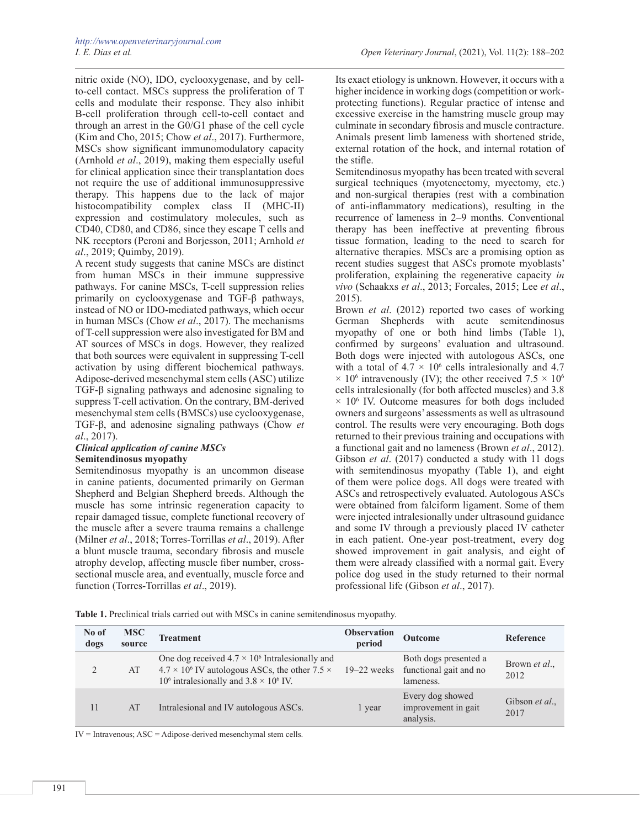*I. E. Dias et al. Open Veterinary Journal*, (2021), Vol. 11(2): 188–202

nitric oxide (NO), IDO, cyclooxygenase, and by cellto-cell contact. MSCs suppress the proliferation of T cells and modulate their response. They also inhibit B-cell proliferation through cell-to-cell contact and through an arrest in the G0/G1 phase of the cell cycle (Kim and Cho, 2015; Chow *et al*., 2017). Furthermore, MSCs show significant immunomodulatory capacity (Arnhold *et al*., 2019), making them especially useful for clinical application since their transplantation does not require the use of additional immunosuppressive therapy. This happens due to the lack of major histocompatibility complex class II (MHC-II) expression and costimulatory molecules, such as CD40, CD80, and CD86, since they escape T cells and NK receptors (Peroni and Borjesson, 2011; Arnhold *et al*., 2019; Quimby, 2019).

A recent study suggests that canine MSCs are distinct from human MSCs in their immune suppressive pathways. For canine MSCs, T-cell suppression relies primarily on cyclooxygenase and TGF-β pathways, instead of NO or IDO-mediated pathways, which occur in human MSCs (Chow *et al*., 2017). The mechanisms of T-cell suppression were also investigated for BM and AT sources of MSCs in dogs. However, they realized that both sources were equivalent in suppressing T-cell activation by using different biochemical pathways. Adipose-derived mesenchymal stem cells (ASC) utilize TGF-β signaling pathways and adenosine signaling to suppress T-cell activation. On the contrary, BM-derived mesenchymal stem cells (BMSCs) use cyclooxygenase, TGF-β, and adenosine signaling pathways (Chow *et al*., 2017).

# *Clinical application of canine MSCs* **Semitendinosus myopathy**

Semitendinosus myopathy is an uncommon disease in canine patients, documented primarily on German Shepherd and Belgian Shepherd breeds. Although the muscle has some intrinsic regeneration capacity to repair damaged tissue, complete functional recovery of the muscle after a severe trauma remains a challenge (Milner *et al*., 2018; Torres-Torrillas *et al*., 2019). After a blunt muscle trauma, secondary fibrosis and muscle atrophy develop, affecting muscle fiber number, crosssectional muscle area, and eventually, muscle force and function (Torres-Torrillas *et al*., 2019).

Its exact etiology is unknown. However, it occurs with a higher incidence in working dogs (competition or workprotecting functions). Regular practice of intense and excessive exercise in the hamstring muscle group may culminate in secondary fibrosis and muscle contracture. Animals present limb lameness with shortened stride, external rotation of the hock, and internal rotation of the stifle.

Semitendinosus myopathy has been treated with several surgical techniques (myotenectomy, myectomy, etc.) and non-surgical therapies (rest with a combination of anti-inflammatory medications), resulting in the recurrence of lameness in 2–9 months. Conventional therapy has been ineffective at preventing fibrous tissue formation, leading to the need to search for alternative therapies. MSCs are a promising option as recent studies suggest that ASCs promote myoblasts' proliferation, explaining the regenerative capacity *in vivo* (Schaakxs *et al*., 2013; Forcales, 2015; Lee *et al*., 2015).

Brown *et al*. (2012) reported two cases of working German Shepherds with acute semitendinosus myopathy of one or both hind limbs (Table 1), confirmed by surgeons' evaluation and ultrasound. Both dogs were injected with autologous ASCs, one with a total of  $4.7 \times 10^6$  cells intralesionally and 4.7  $\times$  10<sup>6</sup> intravenously (IV); the other received 7.5  $\times$  10<sup>6</sup> cells intralesionally (for both affected muscles) and 3.8  $\times$  10<sup>6</sup> IV. Outcome measures for both dogs included owners and surgeons' assessments as well as ultrasound control. The results were very encouraging. Both dogs returned to their previous training and occupations with a functional gait and no lameness (Brown *et al*., 2012). Gibson *et al*. (2017) conducted a study with 11 dogs with semitendinosus myopathy (Table 1), and eight of them were police dogs. All dogs were treated with ASCs and retrospectively evaluated. Autologous ASCs were obtained from falciform ligament. Some of them were injected intralesionally under ultrasound guidance and some IV through a previously placed IV catheter in each patient. One-year post-treatment, every dog showed improvement in gait analysis, and eight of them were already classified with a normal gait. Every police dog used in the study returned to their normal professional life (Gibson *et al*., 2017).

**Table 1.** Preclinical trials carried out with MSCs in canine semitendinosus myopathy.

| No of<br>dogs | <b>MSC</b><br>source | <b>Treatment</b>                                                                                                                                                                    | <b>Observation</b><br>period | Outcome                                                      | Reference                     |
|---------------|----------------------|-------------------------------------------------------------------------------------------------------------------------------------------------------------------------------------|------------------------------|--------------------------------------------------------------|-------------------------------|
|               | AT                   | One dog received $4.7 \times 10^6$ Intralesionally and<br>$4.7 \times 10^6$ IV autologous ASCs, the other 7.5 $\times$<br>10 <sup>6</sup> intralesionally and $3.8 \times 10^6$ IV. | $19-22$ weeks                | Both dogs presented a<br>functional gait and no<br>lameness. | Brown <i>et al.</i> ,<br>2012 |
| 11            | AT                   | Intralesional and IV autologous ASCs.                                                                                                                                               | l year                       | Every dog showed<br>improvement in gait<br>analysis.         | Gibson et al.,<br>2017        |

 $IV = Intravenous; ASC = Adipose-derived mesenchymal stem cells.$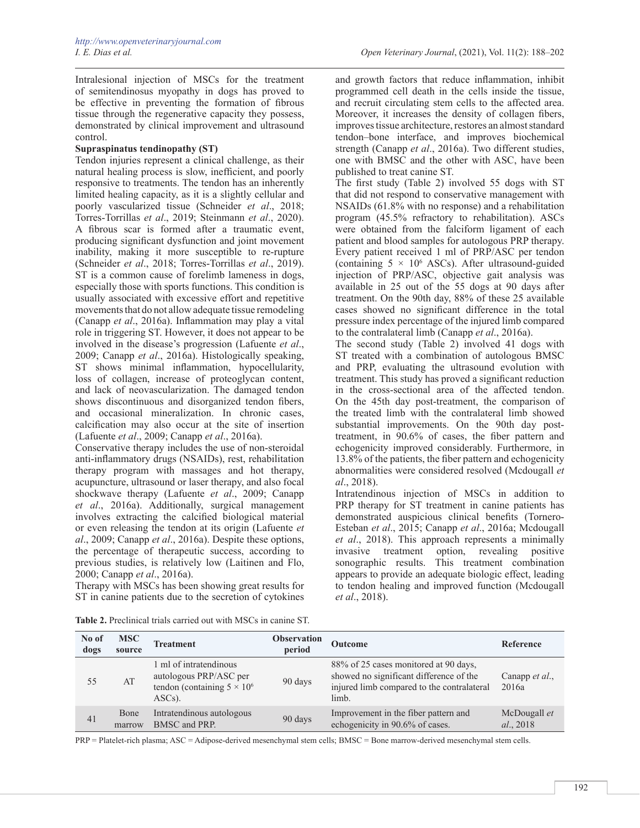Intralesional injection of MSCs for the treatment of semitendinosus myopathy in dogs has proved to be effective in preventing the formation of fibrous tissue through the regenerative capacity they possess, demonstrated by clinical improvement and ultrasound control.

### **Supraspinatus tendinopathy (ST)**

Tendon injuries represent a clinical challenge, as their natural healing process is slow, inefficient, and poorly responsive to treatments. The tendon has an inherently limited healing capacity, as it is a slightly cellular and poorly vascularized tissue (Schneider *et al*., 2018; Torres-Torrillas *et al*., 2019; Steinmann *et al*., 2020). A fibrous scar is formed after a traumatic event, producing significant dysfunction and joint movement inability, making it more susceptible to re-rupture (Schneider *et al*., 2018; Torres-Torrillas *et al*., 2019). ST is a common cause of forelimb lameness in dogs, especially those with sports functions. This condition is usually associated with excessive effort and repetitive movements that do not allow adequate tissue remodeling (Canapp *et al*., 2016a). Inflammation may play a vital role in triggering ST. However, it does not appear to be involved in the disease's progression (Lafuente *et al*., 2009; Canapp *et al*., 2016a). Histologically speaking, ST shows minimal inflammation, hypocellularity, loss of collagen, increase of proteoglycan content, and lack of neovascularization. The damaged tendon shows discontinuous and disorganized tendon fibers, and occasional mineralization. In chronic cases, calcification may also occur at the site of insertion (Lafuente *et al*., 2009; Canapp *et al*., 2016a).

Conservative therapy includes the use of non-steroidal anti-inflammatory drugs (NSAIDs), rest, rehabilitation therapy program with massages and hot therapy, acupuncture, ultrasound or laser therapy, and also focal shockwave therapy (Lafuente *et al*., 2009; Canapp *et al*., 2016a). Additionally, surgical management involves extracting the calcified biological material or even releasing the tendon at its origin (Lafuente *et al*., 2009; Canapp *et al*., 2016a). Despite these options, the percentage of therapeutic success, according to previous studies, is relatively low (Laitinen and Flo, 2000; Canapp *et al*., 2016a).

Therapy with MSCs has been showing great results for ST in canine patients due to the secretion of cytokines

and growth factors that reduce inflammation, inhibit programmed cell death in the cells inside the tissue, and recruit circulating stem cells to the affected area. Moreover, it increases the density of collagen fibers, improves tissue architecture, restores an almost standard tendon–bone interface, and improves biochemical strength (Canapp *et al*., 2016a). Two different studies, one with BMSC and the other with ASC, have been published to treat canine ST.

The first study (Table 2) involved 55 dogs with ST that did not respond to conservative management with NSAIDs (61.8% with no response) and a rehabilitation program (45.5% refractory to rehabilitation). ASCs were obtained from the falciform ligament of each patient and blood samples for autologous PRP therapy. Every patient received 1 ml of PRP/ASC per tendon (containing  $5 \times 10^6$  ASCs). After ultrasound-guided injection of PRP/ASC, objective gait analysis was available in 25 out of the 55 dogs at 90 days after treatment. On the 90th day, 88% of these 25 available cases showed no significant difference in the total pressure index percentage of the injured limb compared to the contralateral limb (Canapp *et al*., 2016a).

The second study (Table 2) involved 41 dogs with ST treated with a combination of autologous BMSC and PRP, evaluating the ultrasound evolution with treatment. This study has proved a significant reduction in the cross-sectional area of the affected tendon. On the 45th day post-treatment, the comparison of the treated limb with the contralateral limb showed substantial improvements. On the 90th day posttreatment, in 90.6% of cases, the fiber pattern and echogenicity improved considerably. Furthermore, in 13.8% of the patients, the fiber pattern and echogenicity abnormalities were considered resolved (Mcdougall *et al*., 2018).

Intratendinous injection of MSCs in addition to PRP therapy for ST treatment in canine patients has demonstrated auspicious clinical benefits (Tornero-Esteban *et al*., 2015; Canapp *et al*., 2016a; Mcdougall *et al*., 2018). This approach represents a minimally invasive treatment option, revealing positive sonographic results. This treatment combination appears to provide an adequate biologic effect, leading to tendon healing and improved function (Mcdougall *et al*., 2018).

| No of<br>dogs | <b>MSC</b><br>source | <b>Treatment</b>                                                                                    | <b>Observation</b><br>period | <b>Outcome</b>                                                                                                                          | Reference                 |
|---------------|----------------------|-----------------------------------------------------------------------------------------------------|------------------------------|-----------------------------------------------------------------------------------------------------------------------------------------|---------------------------|
| 55            | AT                   | 1 ml of intratendinous<br>autologous PRP/ASC per<br>tendon (containing $5 \times 10^6$<br>$ASCs$ ). | 90 days                      | 88% of 25 cases monitored at 90 days,<br>showed no significant difference of the<br>injured limb compared to the contralateral<br>limb. | Canapp et al.,<br>2016a   |
| 41            | Bone<br>marrow       | Intratendinous autologous<br>BMSC and PRP.                                                          | 90 days                      | Improvement in the fiber pattern and<br>echogenicity in 90.6% of cases.                                                                 | McDougall et<br>al., 2018 |
|               |                      |                                                                                                     |                              |                                                                                                                                         |                           |

**Table 2.** Preclinical trials carried out with MSCs in canine ST.

PRP = Platelet-rich plasma; ASC = Adipose-derived mesenchymal stem cells; BMSC = Bone marrow-derived mesenchymal stem cells.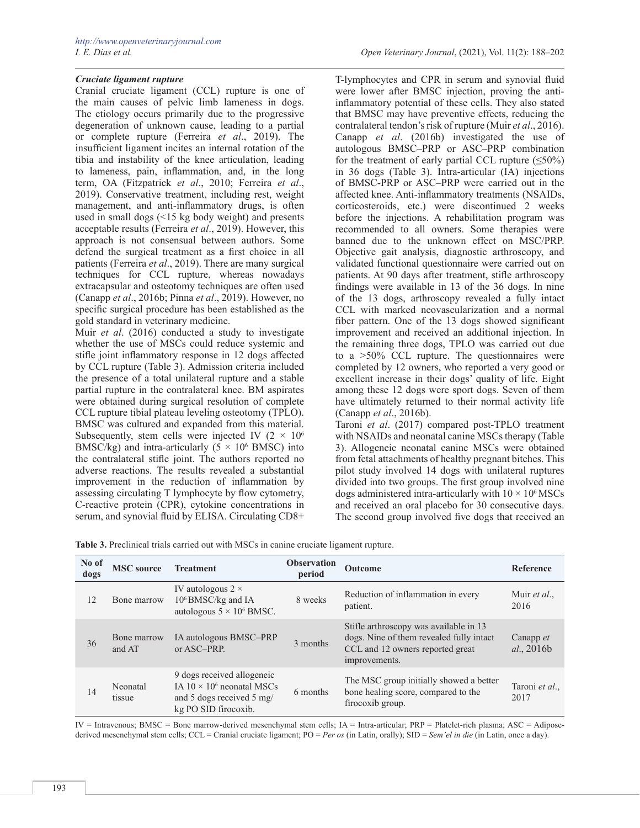## *Cruciate ligament rupture*

Cranial cruciate ligament (CCL) rupture is one of the main causes of pelvic limb lameness in dogs. The etiology occurs primarily due to the progressive degeneration of unknown cause, leading to a partial or complete rupture (Ferreira *et al*., 2019). The insufficient ligament incites an internal rotation of the tibia and instability of the knee articulation, leading to lameness, pain, inflammation, and, in the long term, OA (Fitzpatrick *et al*., 2010; Ferreira *et al*., 2019). Conservative treatment, including rest, weight management, and anti-inflammatory drugs, is often used in small dogs (<15 kg body weight) and presents acceptable results (Ferreira *et al*., 2019). However, this approach is not consensual between authors. Some defend the surgical treatment as a first choice in all patients (Ferreira *et al*., 2019). There are many surgical techniques for CCL rupture, whereas nowadays extracapsular and osteotomy techniques are often used (Canapp *et al*., 2016b; Pinna *et al*., 2019). However, no specific surgical procedure has been established as the gold standard in veterinary medicine.

Muir *et al*. (2016) conducted a study to investigate whether the use of MSCs could reduce systemic and stifle joint inflammatory response in 12 dogs affected by CCL rupture (Table 3). Admission criteria included the presence of a total unilateral rupture and a stable partial rupture in the contralateral knee. BM aspirates were obtained during surgical resolution of complete CCL rupture tibial plateau leveling osteotomy (TPLO). BMSC was cultured and expanded from this material. Subsequently, stem cells were injected IV  $(2 \times 10^6)$ BMSC/kg) and intra-articularly  $(5 \times 10^6 \text{ BMSC})$  into the contralateral stifle joint. The authors reported no adverse reactions. The results revealed a substantial improvement in the reduction of inflammation by assessing circulating T lymphocyte by flow cytometry, C-reactive protein (CPR), cytokine concentrations in serum, and synovial fluid by ELISA. Circulating CD8+

T-lymphocytes and CPR in serum and synovial fluid were lower after BMSC injection, proving the antiinflammatory potential of these cells. They also stated that BMSC may have preventive effects, reducing the contralateral tendon's risk of rupture (Muir *et al*., 2016). Canapp *et al*. (2016b) investigated the use of autologous BMSC–PRP or ASC–PRP combination for the treatment of early partial CCL rupture  $(\leq 50\%)$ in 36 dogs (Table 3). Intra-articular (IA) injections of BMSC-PRP or ASC–PRP were carried out in the affected knee. Anti-inflammatory treatments (NSAIDs, corticosteroids, etc.) were discontinued 2 weeks before the injections. A rehabilitation program was recommended to all owners. Some therapies were banned due to the unknown effect on MSC/PRP. Objective gait analysis, diagnostic arthroscopy, and validated functional questionnaire were carried out on patients. At 90 days after treatment, stifle arthroscopy findings were available in 13 of the 36 dogs. In nine of the 13 dogs, arthroscopy revealed a fully intact CCL with marked neovascularization and a normal fiber pattern. One of the 13 dogs showed significant improvement and received an additional injection. In the remaining three dogs, TPLO was carried out due to a >50% CCL rupture. The questionnaires were completed by 12 owners, who reported a very good or excellent increase in their dogs' quality of life. Eight among these 12 dogs were sport dogs. Seven of them have ultimately returned to their normal activity life (Canapp *et al*., 2016b).

Taroni *et al*. (2017) compared post-TPLO treatment with NSAIDs and neonatal canine MSCs therapy (Table 3). Allogeneic neonatal canine MSCs were obtained from fetal attachments of healthy pregnant bitches. This pilot study involved 14 dogs with unilateral ruptures divided into two groups. The first group involved nine dogs administered intra-articularly with  $10 \times 10^6$  MSCs and received an oral placebo for 30 consecutive days. The second group involved five dogs that received an

| Table 3. Preclinical trials carried out with MSCs in canine cruciate ligament rupture. |  |  |  |
|----------------------------------------------------------------------------------------|--|--|--|
|----------------------------------------------------------------------------------------|--|--|--|

| No of<br>dogs | <b>MSC</b> source     | <b>Treatment</b>                                                                                                     | <b>Observation</b><br>period | <b>Outcome</b>                                                                                                                          | Reference               |
|---------------|-----------------------|----------------------------------------------------------------------------------------------------------------------|------------------------------|-----------------------------------------------------------------------------------------------------------------------------------------|-------------------------|
| 12            | Bone marrow           | IV autologous $2 \times$<br>$10^6$ BMSC/kg and IA<br>autologous $5 \times 10^6$ BMSC.                                | 8 weeks                      | Reduction of inflammation in every<br>patient.                                                                                          | Muir et al.,<br>2016    |
| 36            | Bone marrow<br>and AT | IA autologous BMSC-PRP<br>or ASC-PRP.                                                                                | 3 months                     | Stifle arthroscopy was available in 13<br>dogs. Nine of them revealed fully intact<br>CCL and 12 owners reported great<br>improvements. | Canapp et<br>al., 2016b |
| 14            | Neonatal<br>tissue    | 9 dogs received allogeneic<br>IA $10 \times 10^6$ neonatal MSCs<br>and 5 dogs received 5 mg/<br>kg PO SID firocoxib. | 6 months                     | The MSC group initially showed a better<br>bone healing score, compared to the<br>firocoxib group.                                      | Taroni et al.,<br>2017  |

IV = Intravenous; BMSC = Bone marrow-derived mesenchymal stem cells; IA = Intra-articular; PRP = Platelet-rich plasma; ASC = Adiposederived mesenchymal stem cells; CCL = Cranial cruciate ligament; PO = *Per os* (in Latin, orally); SID = *Sem'el in die* (in Latin, once a day).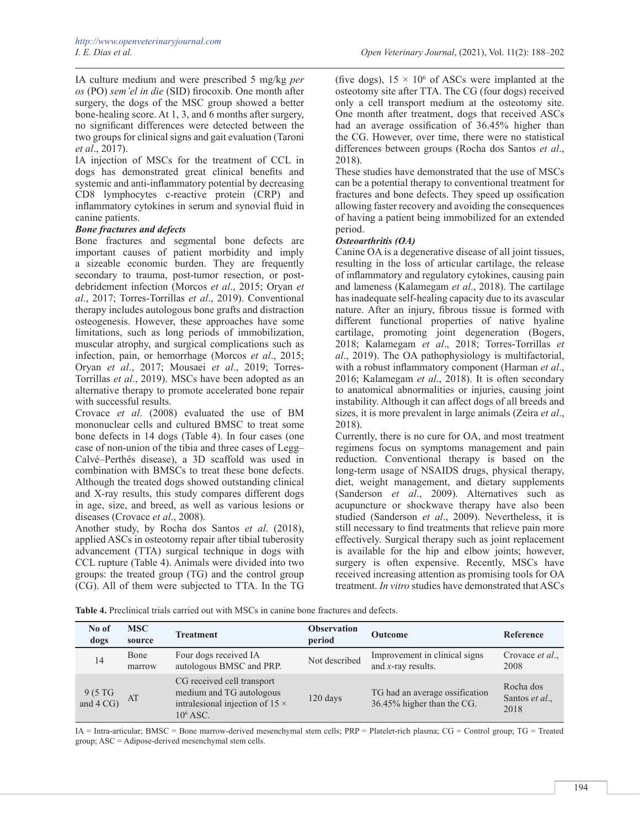IA culture medium and were prescribed 5 mg/kg *per os* (PO) *sem'el in die* (SID) firocoxib. One month after surgery, the dogs of the MSC group showed a better bone-healing score. At 1, 3, and 6 months after surgery, no significant differences were detected between the two groups for clinical signs and gait evaluation (Taroni *et al*., 2017).

IA injection of MSCs for the treatment of CCL in dogs has demonstrated great clinical benefits and systemic and anti-inflammatory potential by decreasing CD8 lymphocytes c-reactive protein (CRP) and inflammatory cytokines in serum and synovial fluid in canine patients.

# *Bone fractures and defects*

Bone fractures and segmental bone defects are important causes of patient morbidity and imply a sizeable economic burden. They are frequently secondary to trauma, post-tumor resection, or postdebridement infection (Morcos *et al*., 2015; Oryan *et al*., 2017; Torres-Torrillas *et al*., 2019). Conventional therapy includes autologous bone grafts and distraction osteogenesis. However, these approaches have some limitations, such as long periods of immobilization, muscular atrophy, and surgical complications such as infection, pain, or hemorrhage (Morcos *et al*., 2015; Oryan *et al*., 2017; Mousaei *et al*., 2019; Torres-Torrillas *et al*., 2019). MSCs have been adopted as an alternative therapy to promote accelerated bone repair with successful results.

Crovace *et al*. (2008) evaluated the use of BM mononuclear cells and cultured BMSC to treat some bone defects in 14 dogs (Table 4). In four cases (one case of non-union of the tibia and three cases of Legg– Calvé–Perthés disease), a 3D scaffold was used in combination with BMSCs to treat these bone defects. Although the treated dogs showed outstanding clinical and X-ray results, this study compares different dogs in age, size, and breed, as well as various lesions or diseases (Crovace *et al*., 2008).

Another study, by Rocha dos Santos *et al*. (2018), applied ASCs in osteotomy repair after tibial tuberosity advancement (TTA) surgical technique in dogs with CCL rupture (Table 4). Animals were divided into two groups: the treated group (TG) and the control group (CG). All of them were subjected to TTA. In the TG

(five dogs),  $15 \times 10^6$  of ASCs were implanted at the osteotomy site after TTA. The CG (four dogs) received only a cell transport medium at the osteotomy site. One month after treatment, dogs that received ASCs had an average ossification of 36.45% higher than the CG. However, over time, there were no statistical differences between groups (Rocha dos Santos *et al*., 2018).

These studies have demonstrated that the use of MSCs can be a potential therapy to conventional treatment for fractures and bone defects. They speed up ossification allowing faster recovery and avoiding the consequences of having a patient being immobilized for an extended period.

# *Osteoarthritis (OA)*

Canine OA is a degenerative disease of all joint tissues, resulting in the loss of articular cartilage, the release of inflammatory and regulatory cytokines, causing pain and lameness (Kalamegam *et al*., 2018). The cartilage has inadequate self-healing capacity due to its avascular nature. After an injury, fibrous tissue is formed with different functional properties of native hyaline cartilage, promoting joint degeneration (Bogers, 2018; Kalamegam *et al*., 2018; Torres-Torrillas *et al*., 2019). The OA pathophysiology is multifactorial, with a robust inflammatory component (Harman *et al*., 2016; Kalamegam *et al*., 2018). It is often secondary to anatomical abnormalities or injuries, causing joint instability. Although it can affect dogs of all breeds and sizes, it is more prevalent in large animals (Zeira *et al*., 2018).

Currently, there is no cure for OA, and most treatment regimens focus on symptoms management and pain reduction. Conventional therapy is based on the long-term usage of NSAIDS drugs, physical therapy, diet, weight management, and dietary supplements (Sanderson *et al*., 2009). Alternatives such as acupuncture or shockwave therapy have also been studied (Sanderson *et al*., 2009). Nevertheless, it is still necessary to find treatments that relieve pain more effectively. Surgical therapy such as joint replacement is available for the hip and elbow joints; however, surgery is often expensive. Recently, MSCs have received increasing attention as promising tools for OA treatment. *In vitro* studies have demonstrated that ASCs

| No of<br>dogs                            | <b>MSC</b><br>source | <b>Treatment</b>                                                                                                | <b>Observation</b><br>period | Outcome                                                      | Reference                           |
|------------------------------------------|----------------------|-----------------------------------------------------------------------------------------------------------------|------------------------------|--------------------------------------------------------------|-------------------------------------|
| 14                                       | Bone<br>marrow       | Four dogs received IA<br>autologous BMSC and PRP.                                                               | Not described                | Improvement in clinical signs<br>and $x$ -ray results.       | Crovace et al.,<br>2008             |
| $9(5 \text{ TG})$<br>and $4 \text{ CG})$ | AT                   | CG received cell transport<br>medium and TG autologous<br>intralesional injection of 15 $\times$<br>$10^6$ ASC. | 120 days                     | TG had an average ossification<br>36.45% higher than the CG. | Rocha dos<br>Santos et al.,<br>2018 |

**Table 4.** Preclinical trials carried out with MSCs in canine bone fractures and defects.

IA = Intra-articular; BMSC = Bone marrow-derived mesenchymal stem cells; PRP = Platelet-rich plasma; CG = Control group; TG = Treated group; ASC = Adipose-derived mesenchymal stem cells.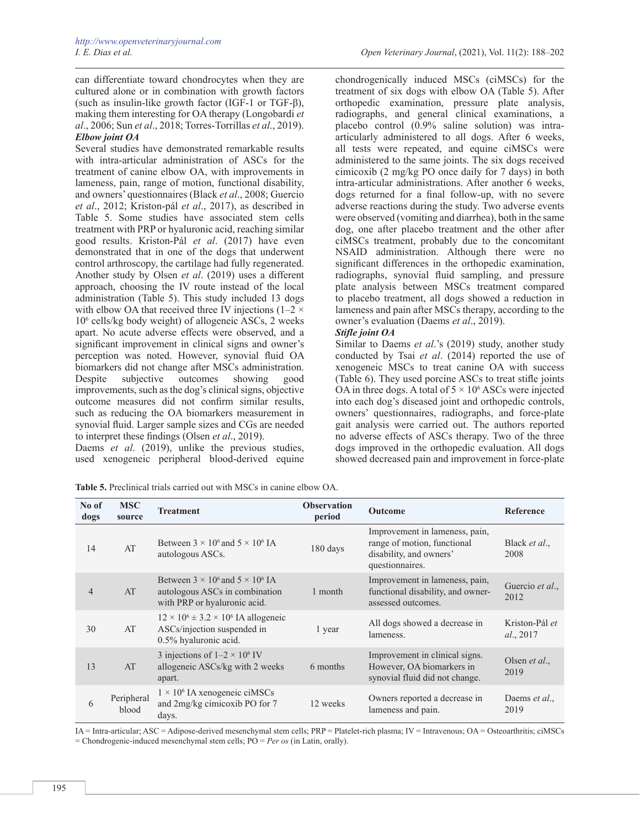can differentiate toward chondrocytes when they are cultured alone or in combination with growth factors (such as insulin-like growth factor (IGF-1 or TGF- $\beta$ ), making them interesting for OA therapy (Longobardi *et al*., 2006; Sun *et al*., 2018; Torres-Torrillas *et al*., 2019). *Elbow joint OA*

Several studies have demonstrated remarkable results with intra-articular administration of ASCs for the treatment of canine elbow OA, with improvements in lameness, pain, range of motion, functional disability, and owners' questionnaires (Black *et al*., 2008; Guercio *et al*., 2012; Kriston-pál *et al*., 2017), as described in Table 5. Some studies have associated stem cells treatment with PRP or hyaluronic acid, reaching similar good results. Kriston-Pál *et al*. (2017) have even demonstrated that in one of the dogs that underwent control arthroscopy, the cartilage had fully regenerated. Another study by Olsen *et al*. (2019) uses a different approach, choosing the IV route instead of the local administration (Table 5). This study included 13 dogs with elbow OA that received three IV injections ( $1-2 \times$ 106 cells/kg body weight) of allogeneic ASCs, 2 weeks apart. No acute adverse effects were observed, and a significant improvement in clinical signs and owner's perception was noted. However, synovial fluid OA biomarkers did not change after MSCs administration.<br>Despite subjective outcomes showing good Despite subjective outcomes showing good improvements, such as the dog's clinical signs, objective outcome measures did not confirm similar results, such as reducing the OA biomarkers measurement in synovial fluid. Larger sample sizes and CGs are needed to interpret these findings (Olsen *et al*., 2019).

Daems *et al*. (2019), unlike the previous studies, used xenogeneic peripheral blood-derived equine

chondrogenically induced MSCs (ciMSCs) for the treatment of six dogs with elbow OA (Table 5). After orthopedic examination, pressure plate analysis, radiographs, and general clinical examinations, a placebo control (0.9% saline solution) was intraarticularly administered to all dogs. After 6 weeks, all tests were repeated, and equine ciMSCs were administered to the same joints. The six dogs received cimicoxib (2 mg/kg PO once daily for 7 days) in both intra-articular administrations. After another 6 weeks, dogs returned for a final follow-up, with no severe adverse reactions during the study. Two adverse events were observed (vomiting and diarrhea), both in the same dog, one after placebo treatment and the other after ciMSCs treatment, probably due to the concomitant NSAID administration. Although there were no significant differences in the orthopedic examination, radiographs, synovial fluid sampling, and pressure plate analysis between MSCs treatment compared to placebo treatment, all dogs showed a reduction in lameness and pain after MSCs therapy, according to the owner's evaluation (Daems *et al*., 2019).

### *Stifle joint OA*

Similar to Daems *et al*.'s (2019) study, another study conducted by Tsai *et al*. (2014) reported the use of xenogeneic MSCs to treat canine OA with success (Table 6). They used porcine ASCs to treat stifle joints OA in three dogs. A total of  $5 \times 10^6$  ASCs were injected into each dog's diseased joint and orthopedic controls, owners' questionnaires, radiographs, and force-plate gait analysis were carried out. The authors reported no adverse effects of ASCs therapy. Two of the three dogs improved in the orthopedic evaluation. All dogs showed decreased pain and improvement in force-plate

**Table 5.** Preclinical trials carried out with MSCs in canine elbow OA.

| No of<br>dogs  | <b>MSC</b><br>source | <b>Treatment</b>                                                                                                 | <b>Observation</b><br>period | <b>Outcome</b>                                                                                              | Reference                     |
|----------------|----------------------|------------------------------------------------------------------------------------------------------------------|------------------------------|-------------------------------------------------------------------------------------------------------------|-------------------------------|
| 14             | AT                   | Between $3 \times 10^6$ and $5 \times 10^6$ IA<br>autologous ASCs.                                               | 180 days                     | Improvement in lameness, pain,<br>range of motion, functional<br>disability, and owners'<br>questionnaires. | Black <i>et al.</i> ,<br>2008 |
| $\overline{4}$ | AT                   | Between $3 \times 10^6$ and $5 \times 10^6$ IA<br>autologous ASCs in combination<br>with PRP or hyaluronic acid. | 1 month                      | Improvement in lameness, pain,<br>functional disability, and owner-<br>assessed outcomes.                   | Guercio et al.,<br>2012       |
| 30             | AT                   | $12 \times 10^6 \pm 3.2 \times 10^6$ IA allogeneic<br>ASCs/injection suspended in<br>0.5% hyaluronic acid.       | 1 year                       | All dogs showed a decrease in<br>lameness.                                                                  | Kriston-Pál et<br>al., 2017   |
| 13             | AT                   | 3 injections of $1-2 \times 10^6$ IV<br>allogeneic ASCs/kg with 2 weeks<br>apart.                                | 6 months                     | Improvement in clinical signs.<br>However, OA biomarkers in<br>synovial fluid did not change.               | Olsen <i>et al.</i> ,<br>2019 |
| 6              | Peripheral<br>blood  | $1 \times 10^6$ IA xenogeneic ciMSCs<br>and 2mg/kg cimicoxib PO for 7<br>days.                                   | 12 weeks                     | Owners reported a decrease in<br>lameness and pain.                                                         | Daems et al.,<br>2019         |

IA = Intra-articular; ASC = Adipose-derived mesenchymal stem cells; PRP = Platelet-rich plasma; IV = Intravenous; OA = Osteoarthritis; ciMSCs = Chondrogenic-induced mesenchymal stem cells; PO = *Per os* (in Latin, orally).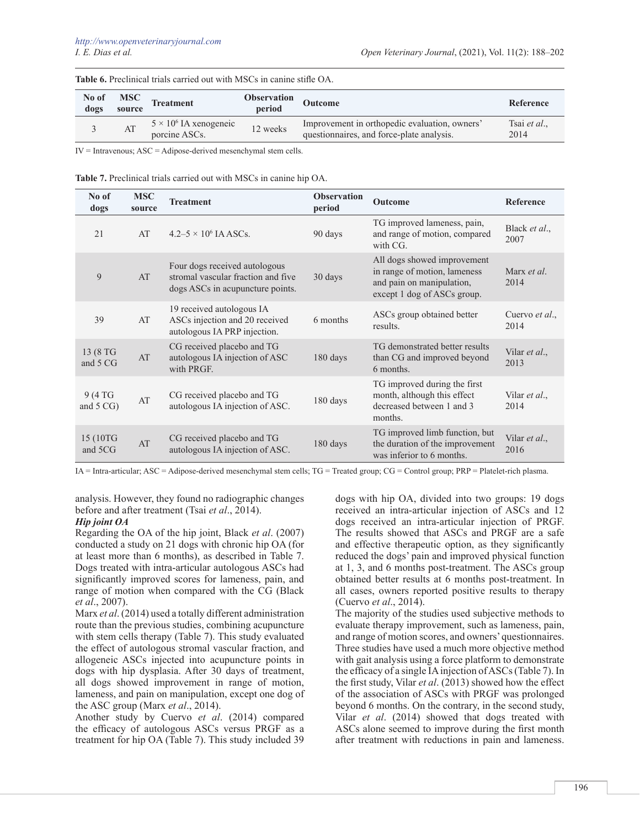| No of<br>dogs | <b>MSC</b><br>source | <b>Treatment</b>                               | <b>Observation</b><br>period | <b>Outcome</b>                                                                             | Reference            |
|---------------|----------------------|------------------------------------------------|------------------------------|--------------------------------------------------------------------------------------------|----------------------|
|               | AT                   | $5 \times 10^6$ IA xenogeneic<br>porcine ASCs. | 12 weeks                     | Improvement in orthopedic evaluation, owners'<br>questionnaires, and force-plate analysis. | Tsai et al.,<br>2014 |

**Table 6.** Preclinical trials carried out with MSCs in canine stifle OA.

IV = Intravenous; ASC = Adipose-derived mesenchymal stem cells.

| Table 7. Preclinical trials carried out with MSCs in canine hip OA. |  |  |  |  |
|---------------------------------------------------------------------|--|--|--|--|
|---------------------------------------------------------------------|--|--|--|--|

| No of<br>dogs        | <b>MSC</b><br>source | <b>Treatment</b>                                                                                        | <b>Observation</b><br>period | Outcome                                                                                                                 | Reference                     |
|----------------------|----------------------|---------------------------------------------------------------------------------------------------------|------------------------------|-------------------------------------------------------------------------------------------------------------------------|-------------------------------|
| 21                   | AT                   | $4.2 - 5 \times 10^6$ JA ASCs.                                                                          | 90 days                      | TG improved lameness, pain,<br>and range of motion, compared<br>with CG.                                                | Black et al.,<br>2007         |
| 9                    | AT                   | Four dogs received autologous<br>stromal vascular fraction and five<br>dogs ASCs in acupuncture points. | 30 days                      | All dogs showed improvement<br>in range of motion, lameness<br>and pain on manipulation,<br>except 1 dog of ASCs group. | Marx et al.<br>2014           |
| 39                   | AT                   | 19 received autologous IA<br>ASCs injection and 20 received<br>autologous IA PRP injection.             | 6 months                     | ASCs group obtained better<br>results.                                                                                  | Cuervo et al.,<br>2014        |
| 13 (8 TG<br>and 5 CG | AT                   | CG received placebo and TG<br>autologous IA injection of ASC<br>with PRGF.                              | 180 days                     | TG demonstrated better results<br>than CG and improved beyond<br>6 months.                                              | Vilar et al.,<br>2013         |
| 9 (4 TG<br>and 5 CG) | AT                   | CG received placebo and TG<br>autologous IA injection of ASC.                                           | 180 days                     | TG improved during the first<br>month, although this effect<br>decreased between 1 and 3<br>months.                     | Vilar <i>et al.</i> ,<br>2014 |
| 15 (10TG<br>and 5CG  | AT                   | CG received placebo and TG<br>autologous IA injection of ASC.                                           | 180 days                     | TG improved limb function, but<br>the duration of the improvement<br>was inferior to 6 months.                          | Vilar et al.,<br>2016         |

IA = Intra-articular; ASC = Adipose-derived mesenchymal stem cells; TG = Treated group; CG = Control group; PRP = Platelet-rich plasma.

analysis. However, they found no radiographic changes before and after treatment (Tsai *et al*., 2014).

# *Hip joint OA*

Regarding the OA of the hip joint, Black *et al*. (2007) conducted a study on 21 dogs with chronic hip OA (for at least more than 6 months), as described in Table 7. Dogs treated with intra-articular autologous ASCs had significantly improved scores for lameness, pain, and range of motion when compared with the CG (Black *et al*., 2007).

Marx *et al*. (2014) used a totally different administration route than the previous studies, combining acupuncture with stem cells therapy (Table 7). This study evaluated the effect of autologous stromal vascular fraction, and allogeneic ASCs injected into acupuncture points in dogs with hip dysplasia. After 30 days of treatment, all dogs showed improvement in range of motion, lameness, and pain on manipulation, except one dog of the ASC group (Marx *et al*., 2014).

Another study by Cuervo *et al*. (2014) compared the efficacy of autologous ASCs versus PRGF as a treatment for hip OA (Table 7). This study included 39

dogs with hip OA, divided into two groups: 19 dogs received an intra-articular injection of ASCs and 12 dogs received an intra-articular injection of PRGF. The results showed that ASCs and PRGF are a safe and effective therapeutic option, as they significantly reduced the dogs' pain and improved physical function at 1, 3, and 6 months post-treatment. The ASCs group obtained better results at 6 months post-treatment. In all cases, owners reported positive results to therapy (Cuervo *et al*., 2014).

The majority of the studies used subjective methods to evaluate therapy improvement, such as lameness, pain, and range of motion scores, and owners' questionnaires. Three studies have used a much more objective method with gait analysis using a force platform to demonstrate the efficacy of a single IA injection of ASCs (Table 7). In the first study, Vilar *et al*. (2013) showed how the effect of the association of ASCs with PRGF was prolonged beyond 6 months. On the contrary, in the second study, Vilar *et al*. (2014) showed that dogs treated with ASCs alone seemed to improve during the first month after treatment with reductions in pain and lameness.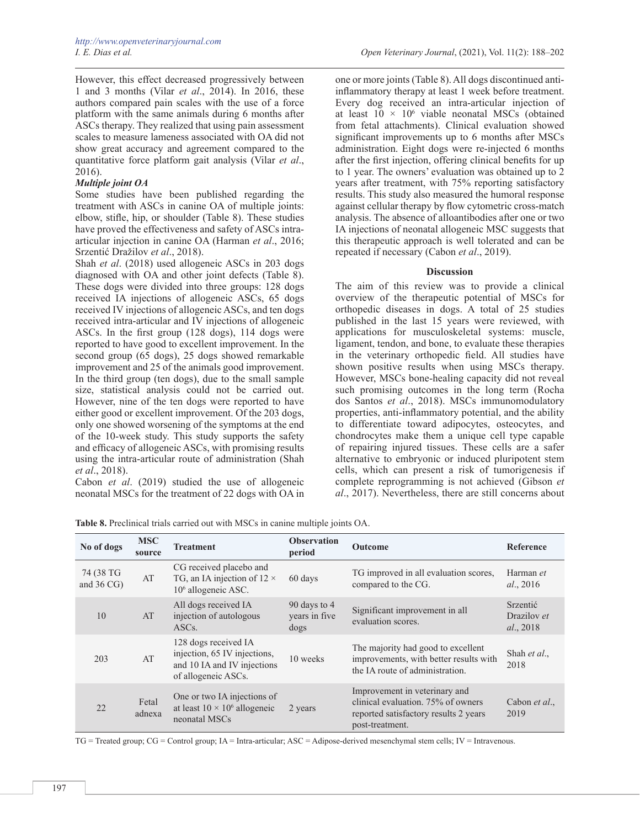However, this effect decreased progressively between 1 and 3 months (Vilar *et al*., 2014). In 2016, these authors compared pain scales with the use of a force platform with the same animals during 6 months after ASCs therapy. They realized that using pain assessment scales to measure lameness associated with OA did not show great accuracy and agreement compared to the quantitative force platform gait analysis (Vilar *et al*., 2016).

### *Multiple joint OA*

Some studies have been published regarding the treatment with ASCs in canine OA of multiple joints: elbow, stifle, hip, or shoulder (Table 8). These studies have proved the effectiveness and safety of ASCs intraarticular injection in canine OA (Harman *et al*., 2016; Srzentić Dražilov *et al*., 2018).

Shah *et al*. (2018) used allogeneic ASCs in 203 dogs diagnosed with OA and other joint defects (Table 8). These dogs were divided into three groups: 128 dogs received IA injections of allogeneic ASCs, 65 dogs received IV injections of allogeneic ASCs, and ten dogs received intra-articular and IV injections of allogeneic ASCs. In the first group (128 dogs), 114 dogs were reported to have good to excellent improvement. In the second group (65 dogs), 25 dogs showed remarkable improvement and 25 of the animals good improvement. In the third group (ten dogs), due to the small sample size, statistical analysis could not be carried out. However, nine of the ten dogs were reported to have either good or excellent improvement. Of the 203 dogs, only one showed worsening of the symptoms at the end of the 10-week study. This study supports the safety and efficacy of allogeneic ASCs, with promising results using the intra-articular route of administration (Shah *et al*., 2018).

Cabon *et al*. (2019) studied the use of allogeneic neonatal MSCs for the treatment of 22 dogs with OA in

one or more joints (Table 8). All dogs discontinued antiinflammatory therapy at least 1 week before treatment. Every dog received an intra-articular injection of at least  $10 \times 10^6$  viable neonatal MSCs (obtained from fetal attachments). Clinical evaluation showed significant improvements up to 6 months after MSCs administration. Eight dogs were re-injected 6 months after the first injection, offering clinical benefits for up to 1 year. The owners' evaluation was obtained up to 2 years after treatment, with 75% reporting satisfactory results. This study also measured the humoral response against cellular therapy by flow cytometric cross-match analysis. The absence of alloantibodies after one or two IA injections of neonatal allogeneic MSC suggests that this therapeutic approach is well tolerated and can be repeated if necessary (Cabon *et al*., 2019).

### **Discussion**

The aim of this review was to provide a clinical overview of the therapeutic potential of MSCs for orthopedic diseases in dogs. A total of 25 studies published in the last 15 years were reviewed, with applications for musculoskeletal systems: muscle, ligament, tendon, and bone, to evaluate these therapies in the veterinary orthopedic field. All studies have shown positive results when using MSCs therapy. However, MSCs bone-healing capacity did not reveal such promising outcomes in the long term (Rocha dos Santos *et al*., 2018). MSCs immunomodulatory properties, anti-inflammatory potential, and the ability to differentiate toward adipocytes, osteocytes, and chondrocytes make them a unique cell type capable of repairing injured tissues. These cells are a safer alternative to embryonic or induced pluripotent stem cells, which can present a risk of tumorigenesis if complete reprogramming is not achieved (Gibson *et al*., 2017). Nevertheless, there are still concerns about

| No of dogs                         | <b>MSC</b><br>source | <b>Treatment</b>                                                                                           | <b>Observation</b><br>period          | <b>Outcome</b>                                                                                                                  | <b>Reference</b>                     |
|------------------------------------|----------------------|------------------------------------------------------------------------------------------------------------|---------------------------------------|---------------------------------------------------------------------------------------------------------------------------------|--------------------------------------|
| 74 (38 TG<br>and $36 \text{ CG}$ ) | AT                   | CG received placebo and<br>TG, an IA injection of $12 \times$<br>$106$ allogeneic ASC.                     | 60 days                               | TG improved in all evaluation scores,<br>compared to the CG.                                                                    | Harman et<br>al., 2016               |
| 10                                 | AT                   | All dogs received IA<br>injection of autologous<br>ASC <sub>s</sub> .                                      | 90 days to 4<br>years in five<br>dogs | Significant improvement in all<br>evaluation scores.                                                                            | Srzentić<br>Drazilov et<br>al., 2018 |
| 203                                | AT                   | 128 dogs received IA<br>injection, 65 IV injections,<br>and 10 IA and IV injections<br>of allogeneic ASCs. | 10 weeks                              | The majority had good to excellent<br>improvements, with better results with<br>the IA route of administration.                 | Shah et al.,<br>2018                 |
| 22                                 | Fetal<br>adnexa      | One or two IA injections of<br>at least $10 \times 10^6$ allogeneic<br>neonatal MSCs                       | 2 years                               | Improvement in veterinary and<br>clinical evaluation. 75% of owners<br>reported satisfactory results 2 years<br>post-treatment. | Cabon et al.,<br>2019                |

**Table 8.** Preclinical trials carried out with MSCs in canine multiple joints OA.

TG = Treated group; CG = Control group; IA = Intra-articular; ASC = Adipose-derived mesenchymal stem cells; IV = Intravenous.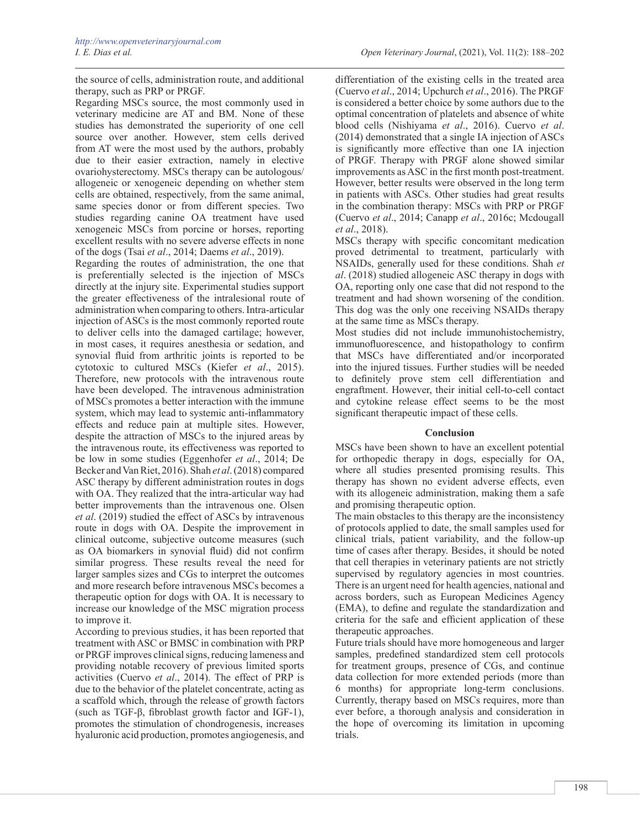the source of cells, administration route, and additional therapy, such as PRP or PRGF.

Regarding MSCs source, the most commonly used in veterinary medicine are AT and BM. None of these studies has demonstrated the superiority of one cell source over another. However, stem cells derived from AT were the most used by the authors, probably due to their easier extraction, namely in elective ovariohysterectomy. MSCs therapy can be autologous/ allogeneic or xenogeneic depending on whether stem cells are obtained, respectively, from the same animal, same species donor or from different species. Two studies regarding canine OA treatment have used xenogeneic MSCs from porcine or horses, reporting excellent results with no severe adverse effects in none of the dogs (Tsai *et al*., 2014; Daems *et al*., 2019).

Regarding the routes of administration, the one that is preferentially selected is the injection of MSCs directly at the injury site. Experimental studies support the greater effectiveness of the intralesional route of administration when comparing to others. Intra-articular injection of ASCs is the most commonly reported route to deliver cells into the damaged cartilage; however, in most cases, it requires anesthesia or sedation, and synovial fluid from arthritic joints is reported to be cytotoxic to cultured MSCs (Kiefer *et al*., 2015). Therefore, new protocols with the intravenous route have been developed. The intravenous administration of MSCs promotes a better interaction with the immune system, which may lead to systemic anti-inflammatory effects and reduce pain at multiple sites. However, despite the attraction of MSCs to the injured areas by the intravenous route, its effectiveness was reported to be low in some studies (Eggenhofer *et al*., 2014; De Becker and Van Riet, 2016). Shah *et al*. (2018) compared ASC therapy by different administration routes in dogs with OA. They realized that the intra-articular way had better improvements than the intravenous one. Olsen *et al*. (2019) studied the effect of ASCs by intravenous route in dogs with OA. Despite the improvement in clinical outcome, subjective outcome measures (such as OA biomarkers in synovial fluid) did not confirm similar progress. These results reveal the need for larger samples sizes and CGs to interpret the outcomes and more research before intravenous MSCs becomes a therapeutic option for dogs with OA. It is necessary to increase our knowledge of the MSC migration process to improve it.

According to previous studies, it has been reported that treatment with ASC or BMSC in combination with PRP or PRGF improves clinical signs, reducing lameness and providing notable recovery of previous limited sports activities (Cuervo *et al*., 2014). The effect of PRP is due to the behavior of the platelet concentrate, acting as a scaffold which, through the release of growth factors (such as TGF-β, fibroblast growth factor and IGF-1), promotes the stimulation of chondrogenesis, increases hyaluronic acid production, promotes angiogenesis, and

differentiation of the existing cells in the treated area (Cuervo *et al*., 2014; Upchurch *et al*., 2016). The PRGF is considered a better choice by some authors due to the optimal concentration of platelets and absence of white blood cells (Nishiyama *et al*., 2016). Cuervo *et al*. (2014) demonstrated that a single IA injection of ASCs is significantly more effective than one IA injection of PRGF. Therapy with PRGF alone showed similar improvements as ASC in the first month post-treatment. However, better results were observed in the long term in patients with ASCs. Other studies had great results in the combination therapy: MSCs with PRP or PRGF (Cuervo *et al*., 2014; Canapp *et al*., 2016c; Mcdougall *et al*., 2018).

MSCs therapy with specific concomitant medication proved detrimental to treatment, particularly with NSAIDs, generally used for these conditions. Shah *et al*. (2018) studied allogeneic ASC therapy in dogs with OA, reporting only one case that did not respond to the treatment and had shown worsening of the condition. This dog was the only one receiving NSAIDs therapy at the same time as MSCs therapy.

Most studies did not include immunohistochemistry, immunofluorescence, and histopathology to confirm that MSCs have differentiated and/or incorporated into the injured tissues. Further studies will be needed to definitely prove stem cell differentiation and engraftment. However, their initial cell-to-cell contact and cytokine release effect seems to be the most significant therapeutic impact of these cells.

### **Conclusion**

MSCs have been shown to have an excellent potential for orthopedic therapy in dogs, especially for OA, where all studies presented promising results. This therapy has shown no evident adverse effects, even with its allogeneic administration, making them a safe and promising therapeutic option.

The main obstacles to this therapy are the inconsistency of protocols applied to date, the small samples used for clinical trials, patient variability, and the follow-up time of cases after therapy. Besides, it should be noted that cell therapies in veterinary patients are not strictly supervised by regulatory agencies in most countries. There is an urgent need for health agencies, national and across borders, such as European Medicines Agency (EMA), to define and regulate the standardization and criteria for the safe and efficient application of these therapeutic approaches.

Future trials should have more homogeneous and larger samples, predefined standardized stem cell protocols for treatment groups, presence of CGs, and continue data collection for more extended periods (more than 6 months) for appropriate long-term conclusions. Currently, therapy based on MSCs requires, more than ever before, a thorough analysis and consideration in the hope of overcoming its limitation in upcoming trials.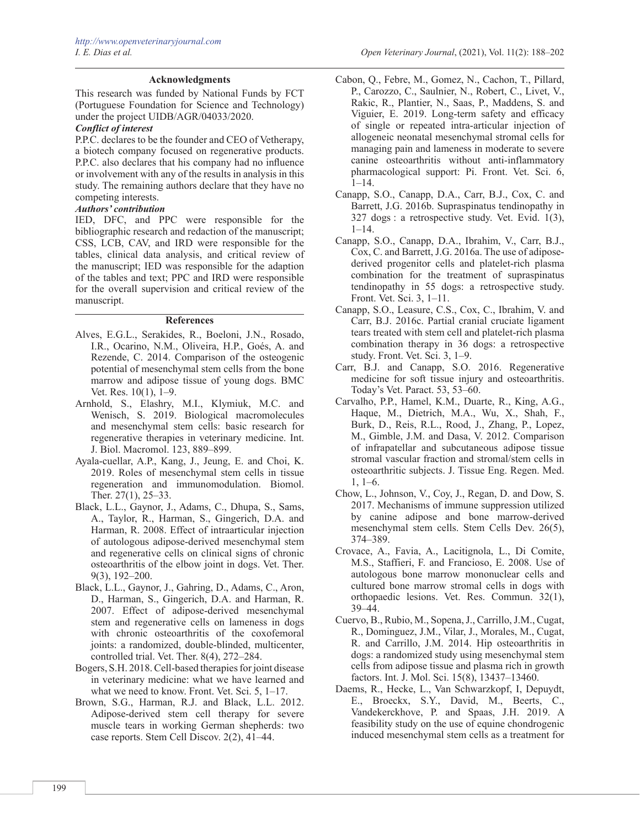## **Acknowledgments**

This research was funded by National Funds by FCT (Portuguese Foundation for Science and Technology) under the project UIDB/AGR/04033/2020.

### *Conflict of interest*

P.P.C. declares to be the founder and CEO of Vetherapy, a biotech company focused on regenerative products. P.P.C. also declares that his company had no influence or involvement with any of the results in analysis in this study. The remaining authors declare that they have no competing interests.

### *Authors' contribution*

IED, DFC, and PPC were responsible for the bibliographic research and redaction of the manuscript; CSS, LCB, CAV, and IRD were responsible for the tables, clinical data analysis, and critical review of the manuscript; IED was responsible for the adaption of the tables and text; PPC and IRD were responsible for the overall supervision and critical review of the manuscript.

### **References**

- Alves, E.G.L., Serakides, R., Boeloni, J.N., Rosado, I.R., Ocarino, N.M., Oliveira, H.P., Goés, A. and Rezende, C. 2014. Comparison of the osteogenic potential of mesenchymal stem cells from the bone marrow and adipose tissue of young dogs. BMC Vet. Res. 10(1), 1–9.
- Arnhold, S., Elashry, M.I., Klymiuk, M.C. and Wenisch, S. 2019. Biological macromolecules and mesenchymal stem cells: basic research for regenerative therapies in veterinary medicine. Int. J. Biol. Macromol. 123, 889–899.
- Ayala-cuellar, A.P., Kang, J., Jeung, E. and Choi, K. 2019. Roles of mesenchymal stem cells in tissue regeneration and immunomodulation. Biomol. Ther. 27(1), 25–33.
- Black, L.L., Gaynor, J., Adams, C., Dhupa, S., Sams, A., Taylor, R., Harman, S., Gingerich, D.A. and Harman, R. 2008. Effect of intraarticular injection of autologous adipose-derived mesenchymal stem and regenerative cells on clinical signs of chronic osteoarthritis of the elbow joint in dogs. Vet. Ther. 9(3), 192–200.
- Black, L.L., Gaynor, J., Gahring, D., Adams, C., Aron, D., Harman, S., Gingerich, D.A. and Harman, R. 2007. Effect of adipose-derived mesenchymal stem and regenerative cells on lameness in dogs with chronic osteoarthritis of the coxofemoral joints: a randomized, double-blinded, multicenter, controlled trial. Vet. Ther. 8(4), 272–284.
- Bogers, S.H. 2018. Cell-based therapies for joint disease in veterinary medicine: what we have learned and what we need to know. Front. Vet. Sci. 5, 1–17.
- Brown, S.G., Harman, R.J. and Black, L.L. 2012. Adipose-derived stem cell therapy for severe muscle tears in working German shepherds: two case reports. Stem Cell Discov. 2(2), 41–44.
- Cabon, Q., Febre, M., Gomez, N., Cachon, T., Pillard, P., Carozzo, C., Saulnier, N., Robert, C., Livet, V., Rakic, R., Plantier, N., Saas, P., Maddens, S. and Viguier, E. 2019. Long-term safety and efficacy of single or repeated intra-articular injection of allogeneic neonatal mesenchymal stromal cells for managing pain and lameness in moderate to severe canine osteoarthritis without anti-inflammatory pharmacological support: Pi. Front. Vet. Sci. 6,  $\overline{1}$ –14.
- Canapp, S.O., Canapp, D.A., Carr, B.J., Cox, C. and Barrett, J.G. 2016b. Supraspinatus tendinopathy in 327 dogs : a retrospective study. Vet. Evid. 1(3), 1–14.
- Canapp, S.O., Canapp, D.A., Ibrahim, V., Carr, B.J., Cox, C. and Barrett, J.G. 2016a. The use of adiposederived progenitor cells and platelet-rich plasma combination for the treatment of supraspinatus tendinopathy in 55 dogs: a retrospective study. Front. Vet. Sci. 3, 1–11.
- Canapp, S.O., Leasure, C.S., Cox, C., Ibrahim, V. and Carr, B.J. 2016c. Partial cranial cruciate ligament tears treated with stem cell and platelet-rich plasma combination therapy in 36 dogs: a retrospective study. Front. Vet. Sci. 3, 1–9.
- Carr, B.J. and Canapp, S.O. 2016. Regenerative medicine for soft tissue injury and osteoarthritis. Today's Vet. Paract. 53, 53–60.
- Carvalho, P.P., Hamel, K.M., Duarte, R., King, A.G., Haque, M., Dietrich, M.A., Wu, X., Shah, F., Burk, D., Reis, R.L., Rood, J., Zhang, P., Lopez, M., Gimble, J.M. and Dasa, V. 2012. Comparison of infrapatellar and subcutaneous adipose tissue stromal vascular fraction and stromal/stem cells in osteoarthritic subjects. J. Tissue Eng. Regen. Med. 1, 1–6.
- Chow, L., Johnson, V., Coy, J., Regan, D. and Dow, S. 2017. Mechanisms of immune suppression utilized by canine adipose and bone marrow-derived mesenchymal stem cells. Stem Cells Dev. 26(5), 374–389.
- Crovace, A., Favia, A., Lacitignola, L., Di Comite, M.S., Staffieri, F. and Francioso, E. 2008. Use of autologous bone marrow mononuclear cells and cultured bone marrow stromal cells in dogs with orthopaedic lesions. Vet. Res. Commun. 32(1), 39–44.
- Cuervo, B., Rubio, M., Sopena, J., Carrillo, J.M., Cugat, R., Dominguez, J.M., Vilar, J., Morales, M., Cugat, R. and Carrillo, J.M. 2014. Hip osteoarthritis in dogs: a randomized study using mesenchymal stem cells from adipose tissue and plasma rich in growth factors. Int. J. Mol. Sci. 15(8), 13437–13460.
- Daems, R., Hecke, L., Van Schwarzkopf, I, Depuydt, E., Broeckx, S.Y., David, M., Beerts, C., Vandekerckhove, P. and Spaas, J.H. 2019. A feasibility study on the use of equine chondrogenic induced mesenchymal stem cells as a treatment for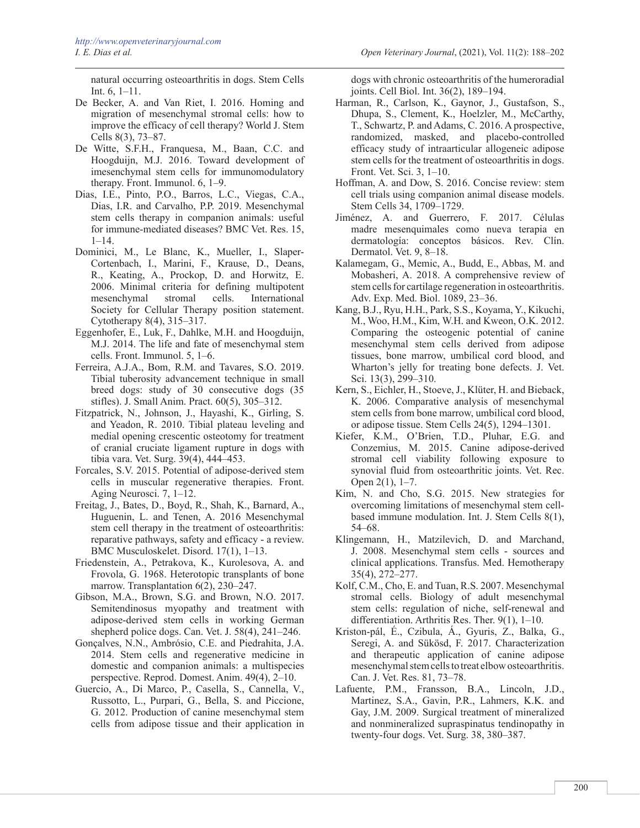natural occurring osteoarthritis in dogs. Stem Cells Int. 6, 1–11.

- De Becker, A. and Van Riet, I. 2016. Homing and migration of mesenchymal stromal cells: how to improve the efficacy of cell therapy? World J. Stem Cells 8(3), 73–87.
- De Witte, S.F.H., Franquesa, M., Baan, C.C. and Hoogduijn, M.J. 2016. Toward development of imesenchymal stem cells for immunomodulatory therapy. Front. Immunol. 6, 1–9.
- Dias, I.E., Pinto, P.O., Barros, L.C., Viegas, C.A., Dias, I.R. and Carvalho, P.P. 2019. Mesenchymal stem cells therapy in companion animals: useful for immune-mediated diseases? BMC Vet. Res. 15,  $1 - 14$ .
- Dominici, M., Le Blanc, K., Mueller, I., Slaper-Cortenbach, I., Marini, F., Krause, D., Deans, R., Keating, A., Prockop, D. and Horwitz, E. 2006. Minimal criteria for defining multipotent cells. International Society for Cellular Therapy position statement. Cytotherapy 8(4), 315–317.
- Eggenhofer, E., Luk, F., Dahlke, M.H. and Hoogduijn, M.J. 2014. The life and fate of mesenchymal stem cells. Front. Immunol. 5, 1–6.
- Ferreira, A.J.A., Bom, R.M. and Tavares, S.O. 2019. Tibial tuberosity advancement technique in small breed dogs: study of 30 consecutive dogs (35 stifles). J. Small Anim. Pract. 60(5), 305–312.
- Fitzpatrick, N., Johnson, J., Hayashi, K., Girling, S. and Yeadon, R. 2010. Tibial plateau leveling and medial opening crescentic osteotomy for treatment of cranial cruciate ligament rupture in dogs with tibia vara. Vet. Surg. 39(4), 444–453.
- Forcales, S.V. 2015. Potential of adipose-derived stem cells in muscular regenerative therapies. Front. Aging Neurosci. 7, 1–12.
- Freitag, J., Bates, D., Boyd, R., Shah, K., Barnard, A., Huguenin, L. and Tenen, A. 2016 Mesenchymal stem cell therapy in the treatment of osteoarthritis: reparative pathways, safety and efficacy - a review. BMC Musculoskelet. Disord. 17(1), 1–13.
- Friedenstein, A., Petrakova, K., Kurolesova, A. and Frovola, G. 1968. Heterotopic transplants of bone marrow. Transplantation 6(2), 230–247.
- Gibson, M.A., Brown, S.G. and Brown, N.O. 2017. Semitendinosus myopathy and treatment with adipose-derived stem cells in working German shepherd police dogs. Can. Vet. J. 58(4), 241–246.
- Gonçalves, N.N., Ambrósio, C.E. and Piedrahita, J.A. 2014. Stem cells and regenerative medicine in domestic and companion animals: a multispecies perspective. Reprod. Domest. Anim. 49(4), 2–10.
- Guercio, A., Di Marco, P., Casella, S., Cannella, V., Russotto, L., Purpari, G., Bella, S. and Piccione, G. 2012. Production of canine mesenchymal stem cells from adipose tissue and their application in

dogs with chronic osteoarthritis of the humeroradial joints. Cell Biol. Int. 36(2), 189–194.

- Harman, R., Carlson, K., Gaynor, J., Gustafson, S., Dhupa, S., Clement, K., Hoelzler, M., McCarthy, T., Schwartz, P. and Adams, C. 2016. A prospective, randomized, masked, and placebo-controlled efficacy study of intraarticular allogeneic adipose stem cells for the treatment of osteoarthritis in dogs. Front. Vet. Sci. 3, 1–10.
- Hoffman, A. and Dow, S. 2016. Concise review: stem cell trials using companion animal disease models. Stem Cells 34, 1709–1729.
- Jiménez, A. and Guerrero, F. 2017. Células madre mesenquimales como nueva terapia en dermatología: conceptos básicos. Rev. Clín. Dermatol. Vet. 9, 8–18.
- Kalamegam, G., Memic, A., Budd, E., Abbas, M. and Mobasheri, A. 2018. A comprehensive review of stem cells for cartilage regeneration in osteoarthritis. Adv. Exp. Med. Biol. 1089, 23–36.
- Kang, B.J., Ryu, H.H., Park, S.S., Koyama, Y., Kikuchi, M., Woo, H.M., Kim, W.H. and Kweon, O.K. 2012. Comparing the osteogenic potential of canine mesenchymal stem cells derived from adipose tissues, bone marrow, umbilical cord blood, and Wharton's jelly for treating bone defects. J. Vet. Sci. 13(3), 299–310.
- Kern, S., Eichler, H., Stoeve, J., Klüter, H. and Bieback, K. 2006. Comparative analysis of mesenchymal stem cells from bone marrow, umbilical cord blood, or adipose tissue. Stem Cells 24(5), 1294–1301.
- Kiefer, K.M., O'Brien, T.D., Pluhar, E.G. and Conzemius, M. 2015. Canine adipose-derived stromal cell viability following exposure to synovial fluid from osteoarthritic joints. Vet. Rec. Open 2(1), 1–7.
- Kim, N. and Cho, S.G. 2015. New strategies for overcoming limitations of mesenchymal stem cellbased immune modulation. Int. J. Stem Cells 8(1), 54–68.
- Klingemann, H., Matzilevich, D. and Marchand, J. 2008. Mesenchymal stem cells - sources and clinical applications. Transfus. Med. Hemotherapy 35(4), 272–277.
- Kolf, C.M., Cho, E. and Tuan, R.S. 2007. Mesenchymal stromal cells. Biology of adult mesenchymal stem cells: regulation of niche, self-renewal and differentiation. Arthritis Res. Ther. 9(1), 1–10.
- Kriston-pál, É., Czibula, Á., Gyuris, Z., Balka, G., Seregi, A. and Sükösd, F. 2017. Characterization and therapeutic application of canine adipose mesenchymal stem cells to treat elbow osteoarthritis. Can. J. Vet. Res. 81, 73–78.
- Lafuente, P.M., Fransson, B.A., Lincoln, J.D., Martinez, S.A., Gavin, P.R., Lahmers, K.K. and Gay, J.M. 2009. Surgical treatment of mineralized and nonmineralized supraspinatus tendinopathy in twenty-four dogs. Vet. Surg. 38, 380–387.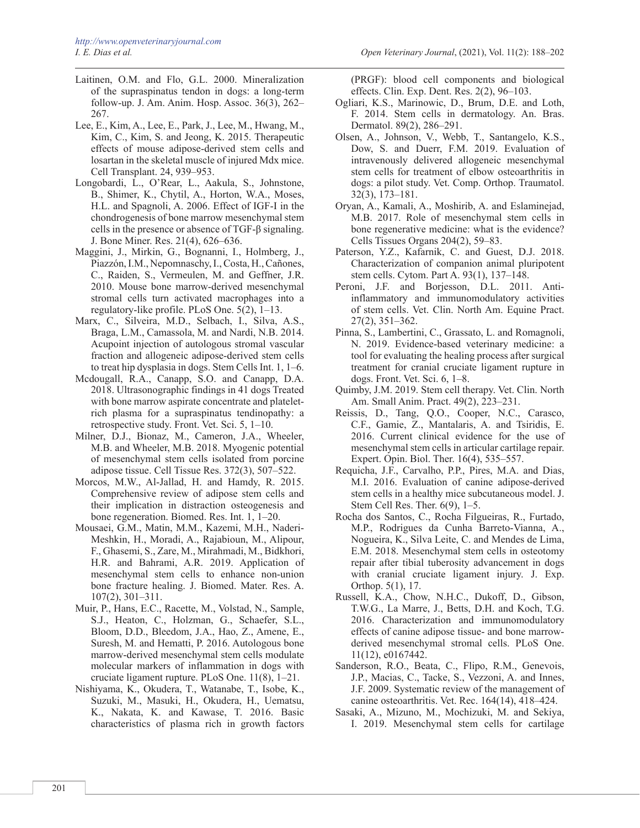- Laitinen, O.M. and Flo, G.L. 2000. Mineralization of the supraspinatus tendon in dogs: a long-term follow-up. J. Am. Anim. Hosp. Assoc. 36(3), 262– 267.
- Lee, E., Kim, A., Lee, E., Park, J., Lee, M., Hwang, M., Kim, C., Kim, S. and Jeong, K. 2015. Therapeutic effects of mouse adipose-derived stem cells and losartan in the skeletal muscle of injured Mdx mice. Cell Transplant. 24, 939–953.
- Longobardi, L., O'Rear, L., Aakula, S., Johnstone, B., Shimer, K., Chytil, A., Horton, W.A., Moses, H.L. and Spagnoli, A. 2006. Effect of IGF-I in the chondrogenesis of bone marrow mesenchymal stem cells in the presence or absence of TGF-β signaling. J. Bone Miner. Res. 21(4), 626–636.
- Maggini, J., Mirkin, G., Bognanni, I., Holmberg, J., Piazzón, I.M., Nepomnaschy, I., Costa, H., Cañones, C., Raiden, S., Vermeulen, M. and Geffner, J.R. 2010. Mouse bone marrow-derived mesenchymal stromal cells turn activated macrophages into a regulatory-like profile. PLoS One. 5(2), 1–13.
- Marx, C., Silveira, M.D., Selbach, I., Silva, A.S., Braga, L.M., Camassola, M. and Nardi, N.B. 2014. Acupoint injection of autologous stromal vascular fraction and allogeneic adipose-derived stem cells to treat hip dysplasia in dogs. Stem Cells Int. 1, 1–6.
- Mcdougall, R.A., Canapp, S.O. and Canapp, D.A. 2018. Ultrasonographic findings in 41 dogs Treated with bone marrow aspirate concentrate and plateletrich plasma for a supraspinatus tendinopathy: a retrospective study. Front. Vet. Sci. 5, 1–10.
- Milner, D.J., Bionaz, M., Cameron, J.A., Wheeler, M.B. and Wheeler, M.B. 2018. Myogenic potential of mesenchymal stem cells isolated from porcine adipose tissue. Cell Tissue Res. 372(3), 507–522.
- Morcos, M.W., Al-Jallad, H. and Hamdy, R. 2015. Comprehensive review of adipose stem cells and their implication in distraction osteogenesis and bone regeneration. Biomed. Res. Int. 1, 1–20.
- Mousaei, G.M., Matin, M.M., Kazemi, M.H., Naderi-Meshkin, H., Moradi, A., Rajabioun, M., Alipour, F., Ghasemi, S., Zare, M., Mirahmadi, M., Bidkhori, H.R. and Bahrami, A.R. 2019. Application of mesenchymal stem cells to enhance non-union bone fracture healing. J. Biomed. Mater. Res. A. 107(2), 301–311.
- Muir, P., Hans, E.C., Racette, M., Volstad, N., Sample, S.J., Heaton, C., Holzman, G., Schaefer, S.L., Bloom, D.D., Bleedom, J.A., Hao, Z., Amene, E., Suresh, M. and Hematti, P. 2016. Autologous bone marrow-derived mesenchymal stem cells modulate molecular markers of inflammation in dogs with cruciate ligament rupture. PLoS One. 11(8), 1–21.
- Nishiyama, K., Okudera, T., Watanabe, T., Isobe, K., Suzuki, M., Masuki, H., Okudera, H., Uematsu, K., Nakata, K. and Kawase, T. 2016. Basic characteristics of plasma rich in growth factors

(PRGF): blood cell components and biological effects. Clin. Exp. Dent. Res. 2(2), 96–103.

- Ogliari, K.S., Marinowic, D., Brum, D.E. and Loth, F. 2014. Stem cells in dermatology. An. Bras. Dermatol. 89(2), 286–291.
- Olsen, A., Johnson, V., Webb, T., Santangelo, K.S., Dow, S. and Duerr, F.M. 2019. Evaluation of intravenously delivered allogeneic mesenchymal stem cells for treatment of elbow osteoarthritis in dogs: a pilot study. Vet. Comp. Orthop. Traumatol. 32(3), 173–181.
- Oryan, A., Kamali, A., Moshirib, A. and Eslaminejad, M.B. 2017. Role of mesenchymal stem cells in bone regenerative medicine: what is the evidence? Cells Tissues Organs 204(2), 59–83.
- Paterson, Y.Z., Kafarnik, C. and Guest, D.J. 2018. Characterization of companion animal pluripotent stem cells. Cytom. Part A. 93(1), 137–148.
- Peroni, J.F. and Borjesson, D.L. 2011. Antiinflammatory and immunomodulatory activities of stem cells. Vet. Clin. North Am. Equine Pract. 27(2), 351–362.
- Pinna, S., Lambertini, C., Grassato, L. and Romagnoli, N. 2019. Evidence-based veterinary medicine: a tool for evaluating the healing process after surgical treatment for cranial cruciate ligament rupture in dogs. Front. Vet. Sci. 6, 1–8.
- Quimby, J.M. 2019. Stem cell therapy. Vet. Clin. North Am. Small Anim. Pract. 49(2), 223–231.
- Reissis, D., Tang, Q.O., Cooper, N.C., Carasco, C.F., Gamie, Z., Mantalaris, A. and Tsiridis, E. 2016. Current clinical evidence for the use of mesenchymal stem cells in articular cartilage repair. Expert. Opin. Biol. Ther. 16(4), 535–557.
- Requicha, J.F., Carvalho, P.P., Pires, M.A. and Dias, M.I. 2016. Evaluation of canine adipose-derived stem cells in a healthy mice subcutaneous model. J. Stem Cell Res. Ther. 6(9), 1–5.
- Rocha dos Santos, C., Rocha Filgueiras, R., Furtado, M.P., Rodrigues da Cunha Barreto-Vianna, A., Nogueira, K., Silva Leite, C. and Mendes de Lima, E.M. 2018. Mesenchymal stem cells in osteotomy repair after tibial tuberosity advancement in dogs with cranial cruciate ligament injury. J. Exp. Orthop. 5(1), 17.
- Russell, K.A., Chow, N.H.C., Dukoff, D., Gibson, T.W.G., La Marre, J., Betts, D.H. and Koch, T.G. 2016. Characterization and immunomodulatory effects of canine adipose tissue- and bone marrowderived mesenchymal stromal cells. PLoS One. 11(12), e0167442.
- Sanderson, R.O., Beata, C., Flipo, R.M., Genevois, J.P., Macias, C., Tacke, S., Vezzoni, A. and Innes, J.F. 2009. Systematic review of the management of canine osteoarthritis. Vet. Rec. 164(14), 418–424.
- Sasaki, A., Mizuno, M., Mochizuki, M. and Sekiya, I. 2019. Mesenchymal stem cells for cartilage